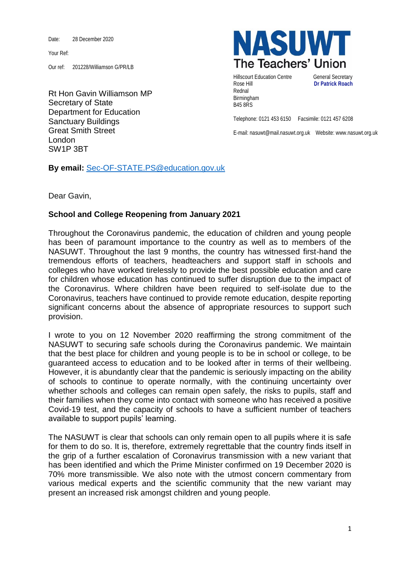Date: 28 December 2020

Your Ref:

Our ref: 201228/Williamson G/PR/LB

Rt Hon Gavin Williamson MP Secretary of State Department for Education Sanctuary Buildings Great Smith Street London SW1P 3BT



Hillscourt Education Centre **General Secretary** Rose Hill **Dr Patrick Roach** Rednal Birmingham B45 8RS

Telephone: 0121 453 6150 Facsimile: 0121 457 6208

E-mail: nasuwt@mail.nasuwt.org.uk Website: www.nasuwt.org.uk

**By email:** [Sec-OF-STATE.PS@education.gov.uk](mailto:Sec-OF-STATE.PS@education.gov.uk)

Dear Gavin,

## **School and College Reopening from January 2021**

Throughout the Coronavirus pandemic, the education of children and young people has been of paramount importance to the country as well as to members of the NASUWT. Throughout the last 9 months, the country has witnessed first-hand the tremendous efforts of teachers, headteachers and support staff in schools and colleges who have worked tirelessly to provide the best possible education and care for children whose education has continued to suffer disruption due to the impact of the Coronavirus. Where children have been required to self-isolate due to the Coronavirus, teachers have continued to provide remote education, despite reporting significant concerns about the absence of appropriate resources to support such provision.

I wrote to you on 12 November 2020 reaffirming the strong commitment of the NASUWT to securing safe schools during the Coronavirus pandemic. We maintain that the best place for children and young people is to be in school or college, to be guaranteed access to education and to be looked after in terms of their wellbeing. However, it is abundantly clear that the pandemic is seriously impacting on the ability of schools to continue to operate normally, with the continuing uncertainty over whether schools and colleges can remain open safely, the risks to pupils, staff and their families when they come into contact with someone who has received a positive Covid-19 test, and the capacity of schools to have a sufficient number of teachers available to support pupils' learning.

The NASUWT is clear that schools can only remain open to all pupils where it is safe for them to do so. It is, therefore, extremely regrettable that the country finds itself in the grip of a further escalation of Coronavirus transmission with a new variant that has been identified and which the Prime Minister confirmed on 19 December 2020 is 70% more transmissible. We also note with the utmost concern commentary from various medical experts and the scientific community that the new variant may present an increased risk amongst children and young people.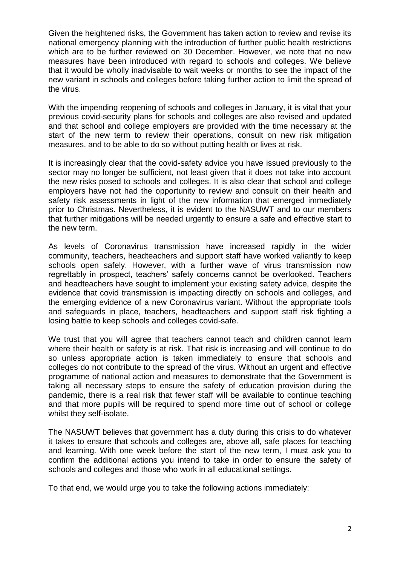Given the heightened risks, the Government has taken action to review and revise its national emergency planning with the introduction of further public health restrictions which are to be further reviewed on 30 December. However, we note that no new measures have been introduced with regard to schools and colleges. We believe that it would be wholly inadvisable to wait weeks or months to see the impact of the new variant in schools and colleges before taking further action to limit the spread of the virus.

With the impending reopening of schools and colleges in January, it is vital that your previous covid-security plans for schools and colleges are also revised and updated and that school and college employers are provided with the time necessary at the start of the new term to review their operations, consult on new risk mitigation measures, and to be able to do so without putting health or lives at risk.

It is increasingly clear that the covid-safety advice you have issued previously to the sector may no longer be sufficient, not least given that it does not take into account the new risks posed to schools and colleges. It is also clear that school and college employers have not had the opportunity to review and consult on their health and safety risk assessments in light of the new information that emerged immediately prior to Christmas. Nevertheless, it is evident to the NASUWT and to our members that further mitigations will be needed urgently to ensure a safe and effective start to the new term.

As levels of Coronavirus transmission have increased rapidly in the wider community, teachers, headteachers and support staff have worked valiantly to keep schools open safely. However, with a further wave of virus transmission now regrettably in prospect, teachers' safety concerns cannot be overlooked. Teachers and headteachers have sought to implement your existing safety advice, despite the evidence that covid transmission is impacting directly on schools and colleges, and the emerging evidence of a new Coronavirus variant. Without the appropriate tools and safeguards in place, teachers, headteachers and support staff risk fighting a losing battle to keep schools and colleges covid-safe.

We trust that you will agree that teachers cannot teach and children cannot learn where their health or safety is at risk. That risk is increasing and will continue to do so unless appropriate action is taken immediately to ensure that schools and colleges do not contribute to the spread of the virus. Without an urgent and effective programme of national action and measures to demonstrate that the Government is taking all necessary steps to ensure the safety of education provision during the pandemic, there is a real risk that fewer staff will be available to continue teaching and that more pupils will be required to spend more time out of school or college whilst they self-isolate.

The NASUWT believes that government has a duty during this crisis to do whatever it takes to ensure that schools and colleges are, above all, safe places for teaching and learning. With one week before the start of the new term, I must ask you to confirm the additional actions you intend to take in order to ensure the safety of schools and colleges and those who work in all educational settings.

To that end, we would urge you to take the following actions immediately: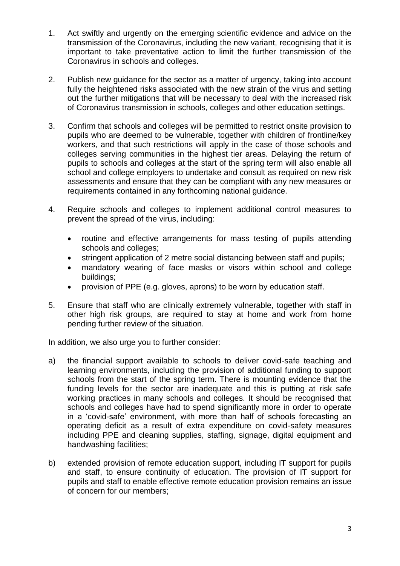- 1. Act swiftly and urgently on the emerging scientific evidence and advice on the transmission of the Coronavirus, including the new variant, recognising that it is important to take preventative action to limit the further transmission of the Coronavirus in schools and colleges.
- 2. Publish new guidance for the sector as a matter of urgency, taking into account fully the heightened risks associated with the new strain of the virus and setting out the further mitigations that will be necessary to deal with the increased risk of Coronavirus transmission in schools, colleges and other education settings.
- 3. Confirm that schools and colleges will be permitted to restrict onsite provision to pupils who are deemed to be vulnerable, together with children of frontline/key workers, and that such restrictions will apply in the case of those schools and colleges serving communities in the highest tier areas. Delaying the return of pupils to schools and colleges at the start of the spring term will also enable all school and college employers to undertake and consult as required on new risk assessments and ensure that they can be compliant with any new measures or requirements contained in any forthcoming national guidance.
- 4. Require schools and colleges to implement additional control measures to prevent the spread of the virus, including:
	- routine and effective arrangements for mass testing of pupils attending schools and colleges;
	- stringent application of 2 metre social distancing between staff and pupils;
	- mandatory wearing of face masks or visors within school and college buildings;
	- provision of PPE (e.g. gloves, aprons) to be worn by education staff.
- 5. Ensure that staff who are clinically extremely vulnerable, together with staff in other high risk groups, are required to stay at home and work from home pending further review of the situation.

In addition, we also urge you to further consider:

- a) the financial support available to schools to deliver covid-safe teaching and learning environments, including the provision of additional funding to support schools from the start of the spring term. There is mounting evidence that the funding levels for the sector are inadequate and this is putting at risk safe working practices in many schools and colleges. It should be recognised that schools and colleges have had to spend significantly more in order to operate in a 'covid-safe' environment, with more than half of schools forecasting an operating deficit as a result of extra expenditure on covid-safety measures including PPE and cleaning supplies, staffing, signage, digital equipment and handwashing facilities;
- b) extended provision of remote education support, including IT support for pupils and staff, to ensure continuity of education. The provision of IT support for pupils and staff to enable effective remote education provision remains an issue of concern for our members;